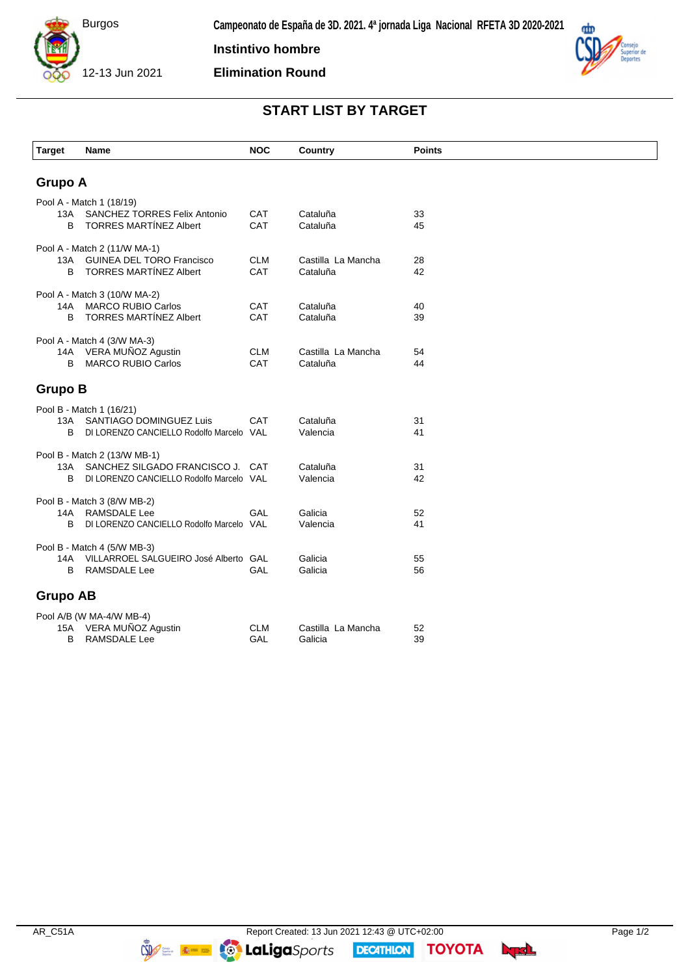

**Instintivo hombre**

**Elimination Round**



## **START LIST BY TARGET**

| <b>Target</b>                | Name                                                             | <b>NOC</b> | Country             | <b>Points</b> |  |  |  |
|------------------------------|------------------------------------------------------------------|------------|---------------------|---------------|--|--|--|
|                              |                                                                  |            |                     |               |  |  |  |
| <b>Grupo A</b>               |                                                                  |            |                     |               |  |  |  |
| Pool A - Match 1 (18/19)     |                                                                  |            |                     |               |  |  |  |
| 13A                          | <b>SANCHEZ TORRES Felix Antonio</b>                              | CAT        | Cataluña            | 33            |  |  |  |
| B                            | <b>TORRES MARTÍNEZ Albert</b>                                    | CAT        | Cataluña            | 45            |  |  |  |
| Pool A - Match 2 (11/W MA-1) |                                                                  |            |                     |               |  |  |  |
| 13A                          | <b>GUINEA DEL TORO Francisco</b>                                 | <b>CLM</b> | Castilla La Mancha  | 28            |  |  |  |
| B                            | <b>TORRES MARTINEZ Albert</b>                                    | CAT        | Cataluña            | 42            |  |  |  |
| Pool A - Match 3 (10/W MA-2) |                                                                  |            |                     |               |  |  |  |
| 14A                          | <b>MARCO RUBIO Carlos</b>                                        | CAT        | Cataluña            | 40            |  |  |  |
| B                            | <b>TORRES MARTÍNEZ Albert</b>                                    | CAT        | Cataluña            | 39            |  |  |  |
| Pool A - Match 4 (3/W MA-3)  |                                                                  |            |                     |               |  |  |  |
|                              | 14A VERA MUÑOZ Agustin                                           | <b>CLM</b> | Castilla La Mancha  | 54            |  |  |  |
| B                            | <b>MARCO RUBIO Carlos</b>                                        | CAT        | Cataluña            | 44            |  |  |  |
| <b>Grupo B</b>               |                                                                  |            |                     |               |  |  |  |
| Pool B - Match 1 (16/21)     |                                                                  |            |                     |               |  |  |  |
| 13A                          | SANTIAGO DOMINGUEZ Luis                                          | <b>CAT</b> | Cataluña            | 31            |  |  |  |
| В                            | DI LORENZO CANCIELLO Rodolfo Marcelo VAL                         |            | Valencia            | 41            |  |  |  |
|                              |                                                                  |            |                     |               |  |  |  |
| 13A                          | Pool B - Match 2 (13/W MB-1)<br>SANCHEZ SILGADO FRANCISCO J. CAT |            | Cataluña            | 31            |  |  |  |
| B                            | DI LORENZO CANCIELLO Rodolfo Marcelo VAL                         |            | Valencia            | 42            |  |  |  |
|                              |                                                                  |            |                     |               |  |  |  |
| Pool B - Match 3 (8/W MB-2)  |                                                                  |            |                     |               |  |  |  |
| 14A<br>B                     | RAMSDALE Lee<br>DI LORENZO CANCIELLO Rodolfo Marcelo VAL         | GAL        | Galicia<br>Valencia | 52<br>41      |  |  |  |
|                              |                                                                  |            |                     |               |  |  |  |
|                              | Pool B - Match 4 (5/W MB-3)                                      |            |                     |               |  |  |  |
| 14A<br>B                     | VILLARROEL SALGUEIRO José Alberto GAL<br><b>RAMSDALE Lee</b>     | GAL        | Galicia<br>Galicia  | 55<br>56      |  |  |  |
|                              |                                                                  |            |                     |               |  |  |  |
| <b>Grupo AB</b>              |                                                                  |            |                     |               |  |  |  |
| Pool A/B (W MA-4/W MB-4)     |                                                                  |            |                     |               |  |  |  |
| 15A                          | VERA MUÑOZ Agustin                                               | <b>CLM</b> | Castilla La Mancha  | 52            |  |  |  |
| B                            | <b>RAMSDALE Lee</b>                                              | GAL        | Galicia             | 39            |  |  |  |

**DECATHION** 

**TOYOTA** byd